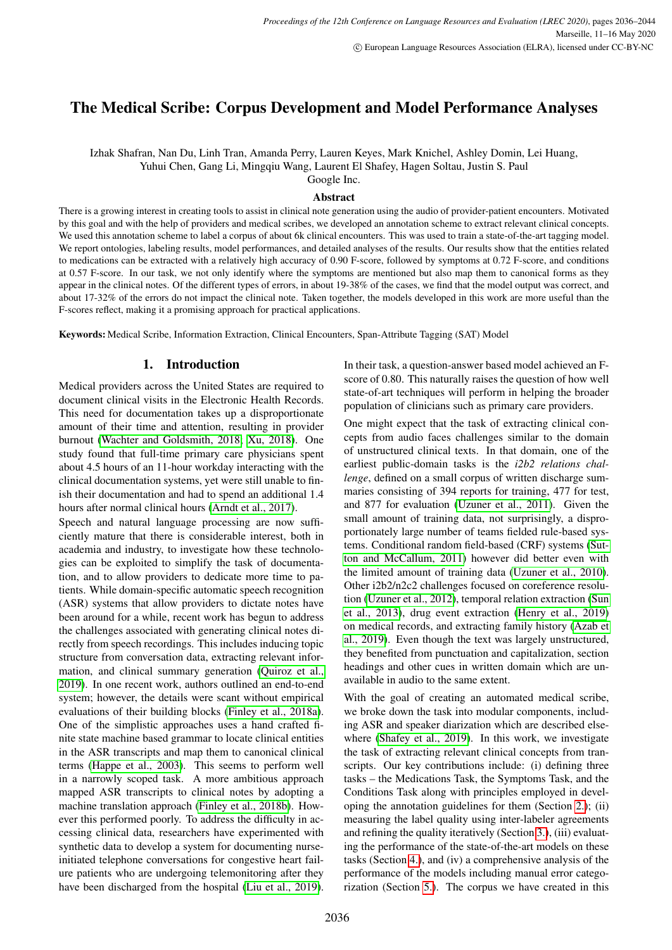# The Medical Scribe: Corpus Development and Model Performance Analyses

Izhak Shafran, Nan Du, Linh Tran, Amanda Perry, Lauren Keyes, Mark Knichel, Ashley Domin, Lei Huang,

Yuhui Chen, Gang Li, Mingqiu Wang, Laurent El Shafey, Hagen Soltau, Justin S. Paul

Google Inc.

#### Abstract

There is a growing interest in creating tools to assist in clinical note generation using the audio of provider-patient encounters. Motivated by this goal and with the help of providers and medical scribes, we developed an annotation scheme to extract relevant clinical concepts. We used this annotation scheme to label a corpus of about 6k clinical encounters. This was used to train a state-of-the-art tagging model. We report ontologies, labeling results, model performances, and detailed analyses of the results. Our results show that the entities related to medications can be extracted with a relatively high accuracy of 0.90 F-score, followed by symptoms at 0.72 F-score, and conditions at 0.57 F-score. In our task, we not only identify where the symptoms are mentioned but also map them to canonical forms as they appear in the clinical notes. Of the different types of errors, in about 19-38% of the cases, we find that the model output was correct, and about 17-32% of the errors do not impact the clinical note. Taken together, the models developed in this work are more useful than the F-scores reflect, making it a promising approach for practical applications.

Keywords: Medical Scribe, Information Extraction, Clinical Encounters, Span-Attribute Tagging (SAT) Model

# 1. Introduction

Medical providers across the United States are required to document clinical visits in the Electronic Health Records. This need for documentation takes up a disproportionate amount of their time and attention, resulting in provider burnout [\(Wachter and Goldsmith, 2018;](#page-8-0) [Xu, 2018\)](#page-8-1). One study found that full-time primary care physicians spent about 4.5 hours of an 11-hour workday interacting with the clinical documentation systems, yet were still unable to finish their documentation and had to spend an additional 1.4 hours after normal clinical hours [\(Arndt et al., 2017\)](#page-8-2).

Speech and natural language processing are now sufficiently mature that there is considerable interest, both in academia and industry, to investigate how these technologies can be exploited to simplify the task of documentation, and to allow providers to dedicate more time to patients. While domain-specific automatic speech recognition (ASR) systems that allow providers to dictate notes have been around for a while, recent work has begun to address the challenges associated with generating clinical notes directly from speech recordings. This includes inducing topic structure from conversation data, extracting relevant information, and clinical summary generation [\(Quiroz et al.,](#page-8-3) [2019\)](#page-8-3). In one recent work, authors outlined an end-to-end system; however, the details were scant without empirical evaluations of their building blocks [\(Finley et al., 2018a\)](#page-8-4). One of the simplistic approaches uses a hand crafted finite state machine based grammar to locate clinical entities in the ASR transcripts and map them to canonical clinical terms [\(Happe et al., 2003\)](#page-8-5). This seems to perform well in a narrowly scoped task. A more ambitious approach mapped ASR transcripts to clinical notes by adopting a machine translation approach [\(Finley et al., 2018b\)](#page-8-6). However this performed poorly. To address the difficulty in accessing clinical data, researchers have experimented with synthetic data to develop a system for documenting nurseinitiated telephone conversations for congestive heart failure patients who are undergoing telemonitoring after they have been discharged from the hospital [\(Liu et al., 2019\)](#page-8-7). In their task, a question-answer based model achieved an Fscore of 0.80. This naturally raises the question of how well state-of-art techniques will perform in helping the broader population of clinicians such as primary care providers.

One might expect that the task of extracting clinical concepts from audio faces challenges similar to the domain of unstructured clinical texts. In that domain, one of the earliest public-domain tasks is the *i2b2 relations challenge*, defined on a small corpus of written discharge summaries consisting of 394 reports for training, 477 for test, and 877 for evaluation [\(Uzuner et al., 2011\)](#page-8-8). Given the small amount of training data, not surprisingly, a disproportionately large number of teams fielded rule-based systems. Conditional random field-based (CRF) systems [\(Sut](#page-8-9)[ton and McCallum, 2011\)](#page-8-9) however did better even with the limited amount of training data [\(Uzuner et al., 2010\)](#page-8-10). Other i2b2/n2c2 challenges focused on coreference resolution [\(Uzuner et al., 2012\)](#page-8-11), temporal relation extraction [\(Sun](#page-8-12) [et al., 2013\)](#page-8-12), drug event extraction [\(Henry et al., 2019\)](#page-8-13) on medical records, and extracting family history [\(Azab et](#page-8-14) [al., 2019\)](#page-8-14). Even though the text was largely unstructured, they benefited from punctuation and capitalization, section headings and other cues in written domain which are unavailable in audio to the same extent.

With the goal of creating an automated medical scribe, we broke down the task into modular components, including ASR and speaker diarization which are described elsewhere [\(Shafey et al., 2019\)](#page-8-15). In this work, we investigate the task of extracting relevant clinical concepts from transcripts. Our key contributions include: (i) defining three tasks – the Medications Task, the Symptoms Task, and the Conditions Task along with principles employed in developing the annotation guidelines for them (Section [2.\)](#page-1-0); (ii) measuring the label quality using inter-labeler agreements and refining the quality iteratively (Section [3.\)](#page-3-0), (iii) evaluating the performance of the state-of-the-art models on these tasks (Section [4.\)](#page-4-0), and (iv) a comprehensive analysis of the performance of the models including manual error categorization (Section [5.\)](#page-5-0). The corpus we have created in this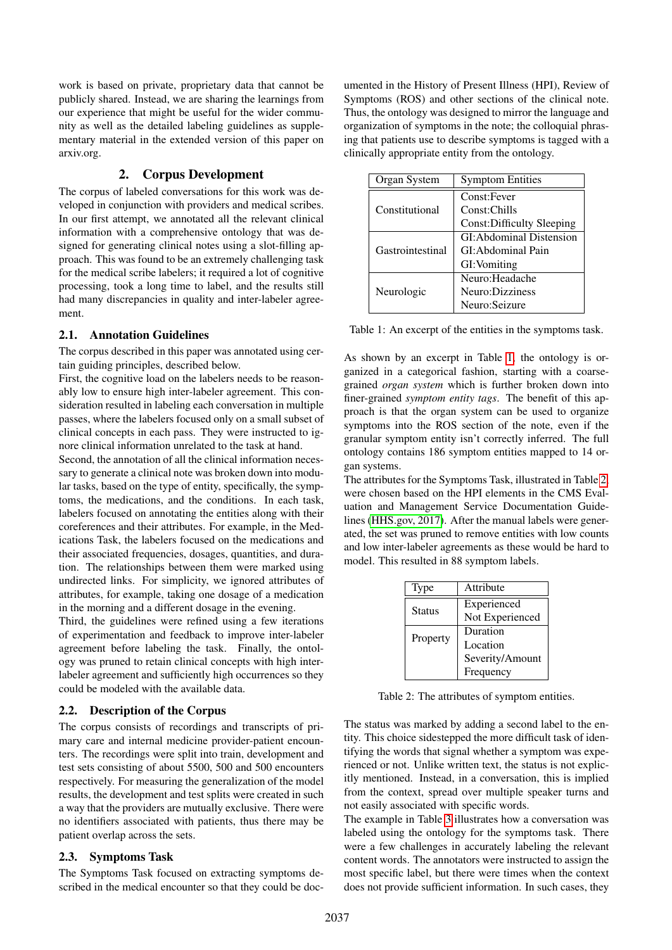work is based on private, proprietary data that cannot be publicly shared. Instead, we are sharing the learnings from our experience that might be useful for the wider community as well as the detailed labeling guidelines as supplementary material in the extended version of this paper on arxiv.org.

### 2. Corpus Development

<span id="page-1-0"></span>The corpus of labeled conversations for this work was developed in conjunction with providers and medical scribes. In our first attempt, we annotated all the relevant clinical information with a comprehensive ontology that was designed for generating clinical notes using a slot-filling approach. This was found to be an extremely challenging task for the medical scribe labelers; it required a lot of cognitive processing, took a long time to label, and the results still had many discrepancies in quality and inter-labeler agreement.

#### 2.1. Annotation Guidelines

The corpus described in this paper was annotated using certain guiding principles, described below.

First, the cognitive load on the labelers needs to be reasonably low to ensure high inter-labeler agreement. This consideration resulted in labeling each conversation in multiple passes, where the labelers focused only on a small subset of clinical concepts in each pass. They were instructed to ignore clinical information unrelated to the task at hand.

Second, the annotation of all the clinical information necessary to generate a clinical note was broken down into modular tasks, based on the type of entity, specifically, the symptoms, the medications, and the conditions. In each task, labelers focused on annotating the entities along with their coreferences and their attributes. For example, in the Medications Task, the labelers focused on the medications and their associated frequencies, dosages, quantities, and duration. The relationships between them were marked using undirected links. For simplicity, we ignored attributes of attributes, for example, taking one dosage of a medication in the morning and a different dosage in the evening.

Third, the guidelines were refined using a few iterations of experimentation and feedback to improve inter-labeler agreement before labeling the task. Finally, the ontology was pruned to retain clinical concepts with high interlabeler agreement and sufficiently high occurrences so they could be modeled with the available data.

#### 2.2. Description of the Corpus

The corpus consists of recordings and transcripts of primary care and internal medicine provider-patient encounters. The recordings were split into train, development and test sets consisting of about 5500, 500 and 500 encounters respectively. For measuring the generalization of the model results, the development and test splits were created in such a way that the providers are mutually exclusive. There were no identifiers associated with patients, thus there may be patient overlap across the sets.

#### 2.3. Symptoms Task

The Symptoms Task focused on extracting symptoms described in the medical encounter so that they could be documented in the History of Present Illness (HPI), Review of Symptoms (ROS) and other sections of the clinical note. Thus, the ontology was designed to mirror the language and organization of symptoms in the note; the colloquial phrasing that patients use to describe symptoms is tagged with a clinically appropriate entity from the ontology.

| Organ System     | <b>Symptom Entities</b>    |
|------------------|----------------------------|
| Constitutional   | Const:Fever                |
|                  | Const:Chills               |
|                  | Const: Difficulty Sleeping |
| Gastrointestinal | GI: Abdominal Distension   |
|                  | GI: Abdominal Pain         |
|                  | GI: Vomiting               |
| Neurologic       | Neuro: Headache            |
|                  | Neuro:Dizziness            |
|                  | Neuro: Seizure             |

<span id="page-1-1"></span>Table 1: An excerpt of the entities in the symptoms task.

As shown by an excerpt in Table [1,](#page-1-1) the ontology is organized in a categorical fashion, starting with a coarsegrained *organ system* which is further broken down into finer-grained *symptom entity tags*. The benefit of this approach is that the organ system can be used to organize symptoms into the ROS section of the note, even if the granular symptom entity isn't correctly inferred. The full ontology contains 186 symptom entities mapped to 14 organ systems.

The attributes for the Symptoms Task, illustrated in Table [2,](#page-1-2) were chosen based on the HPI elements in the CMS Evaluation and Management Service Documentation Guidelines [\(HHS.gov, 2017\)](#page-8-16). After the manual labels were generated, the set was pruned to remove entities with low counts and low inter-labeler agreements as these would be hard to model. This resulted in 88 symptom labels.

| Type     | Attribute       |
|----------|-----------------|
| Status   | Experienced     |
|          | Not Experienced |
| Property | Duration        |
|          | Location        |
|          | Severity/Amount |
|          | Frequency       |

<span id="page-1-2"></span>Table 2: The attributes of symptom entities.

The status was marked by adding a second label to the entity. This choice sidestepped the more difficult task of identifying the words that signal whether a symptom was experienced or not. Unlike written text, the status is not explicitly mentioned. Instead, in a conversation, this is implied from the context, spread over multiple speaker turns and not easily associated with specific words.

The example in Table [3](#page-2-0) illustrates how a conversation was labeled using the ontology for the symptoms task. There were a few challenges in accurately labeling the relevant content words. The annotators were instructed to assign the most specific label, but there were times when the context does not provide sufficient information. In such cases, they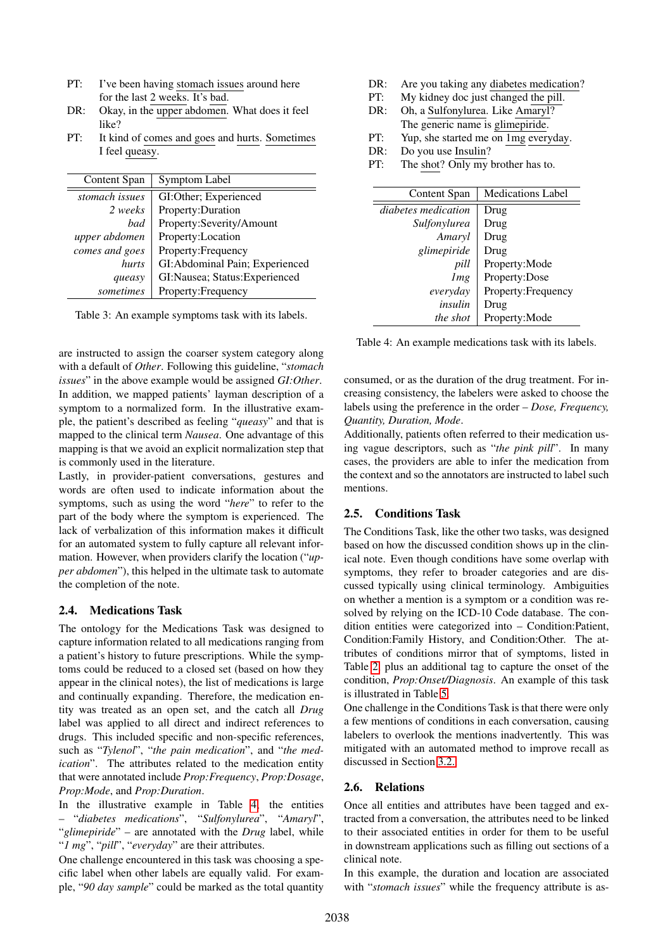- PT: I've been having stomach issues around here for the last 2 weeks. It's bad.
- DR: Okay, in the upper abdomen. What does it feel like?
- PT: It kind of comes and goes and hurts. Sometimes I feel queasy.

| Content Span   | Symptom Label                   |
|----------------|---------------------------------|
| stomach issues | GI:Other; Experienced           |
| 2 weeks        | Property: Duration              |
| had            | Property:Severity/Amount        |
| upper abdomen  | Property:Location               |
| comes and goes | Property: Frequency             |
| hurts          | GI: Abdominal Pain; Experienced |
| queasy         | GI:Nausea; Status:Experienced   |
| sometimes      | Property: Frequency             |

<span id="page-2-0"></span>Table 3: An example symptoms task with its labels.

are instructed to assign the coarser system category along with a default of *Other*. Following this guideline, "*stomach issues*" in the above example would be assigned *GI:Other*. In addition, we mapped patients' layman description of a symptom to a normalized form. In the illustrative example, the patient's described as feeling "*queasy*" and that is mapped to the clinical term *Nausea*. One advantage of this mapping is that we avoid an explicit normalization step that is commonly used in the literature.

Lastly, in provider-patient conversations, gestures and words are often used to indicate information about the symptoms, such as using the word "*here*" to refer to the part of the body where the symptom is experienced. The lack of verbalization of this information makes it difficult for an automated system to fully capture all relevant information. However, when providers clarify the location ("*upper abdomen*"), this helped in the ultimate task to automate the completion of the note.

### 2.4. Medications Task

The ontology for the Medications Task was designed to capture information related to all medications ranging from a patient's history to future prescriptions. While the symptoms could be reduced to a closed set (based on how they appear in the clinical notes), the list of medications is large and continually expanding. Therefore, the medication entity was treated as an open set, and the catch all *Drug* label was applied to all direct and indirect references to drugs. This included specific and non-specific references, such as "*Tylenol*", "*the pain medication*", and "*the medication*". The attributes related to the medication entity that were annotated include *Prop:Frequency*, *Prop:Dosage*, *Prop:Mode*, and *Prop:Duration*.

In the illustrative example in Table [4,](#page-2-1) the entities – "*diabetes medications*", "*Sulfonylurea*", "*Amaryl*", "*glimepiride*" – are annotated with the *Drug* label, while "*1 mg*", "*pill*", "*everyday*" are their attributes.

One challenge encountered in this task was choosing a specific label when other labels are equally valid. For example, "*90 day sample*" could be marked as the total quantity

- DR: Are you taking any diabetes medication?
- PT: My kidney doc just changed the pill. DR: Oh, a Sulfonylurea. Like Amaryl?
- The generic name is glimepiride.
- PT: Yup, she started me on 1mg everyday.
- DR: Do you use Insulin?
- PT: The shot? Only my brother has to.

| Content Span        | <b>Medications Label</b> |
|---------------------|--------------------------|
| diabetes medication | Drug                     |
| Sulfonylurea        | Drug                     |
| Amaryl              | Drug                     |
| glimepiride         | Drug                     |
| pill                | Property:Mode            |
| Img                 | Property:Dose            |
| everyday            | Property: Frequency      |
| insulin             | Drug                     |
| the shot            | Property:Mode            |

<span id="page-2-1"></span>Table 4: An example medications task with its labels.

consumed, or as the duration of the drug treatment. For increasing consistency, the labelers were asked to choose the labels using the preference in the order – *Dose, Frequency, Quantity, Duration, Mode*.

Additionally, patients often referred to their medication using vague descriptors, such as "*the pink pill*". In many cases, the providers are able to infer the medication from the context and so the annotators are instructed to label such mentions.

# 2.5. Conditions Task

The Conditions Task, like the other two tasks, was designed based on how the discussed condition shows up in the clinical note. Even though conditions have some overlap with symptoms, they refer to broader categories and are discussed typically using clinical terminology. Ambiguities on whether a mention is a symptom or a condition was resolved by relying on the ICD-10 Code database. The condition entities were categorized into – Condition:Patient, Condition:Family History, and Condition:Other. The attributes of conditions mirror that of symptoms, listed in Table [2,](#page-1-2) plus an additional tag to capture the onset of the condition, *Prop:Onset/Diagnosis*. An example of this task is illustrated in Table [5.](#page-3-1)

One challenge in the Conditions Task is that there were only a few mentions of conditions in each conversation, causing labelers to overlook the mentions inadvertently. This was mitigated with an automated method to improve recall as discussed in Section [3.2..](#page-3-2)

### 2.6. Relations

Once all entities and attributes have been tagged and extracted from a conversation, the attributes need to be linked to their associated entities in order for them to be useful in downstream applications such as filling out sections of a clinical note.

In this example, the duration and location are associated with "*stomach issues*" while the frequency attribute is as-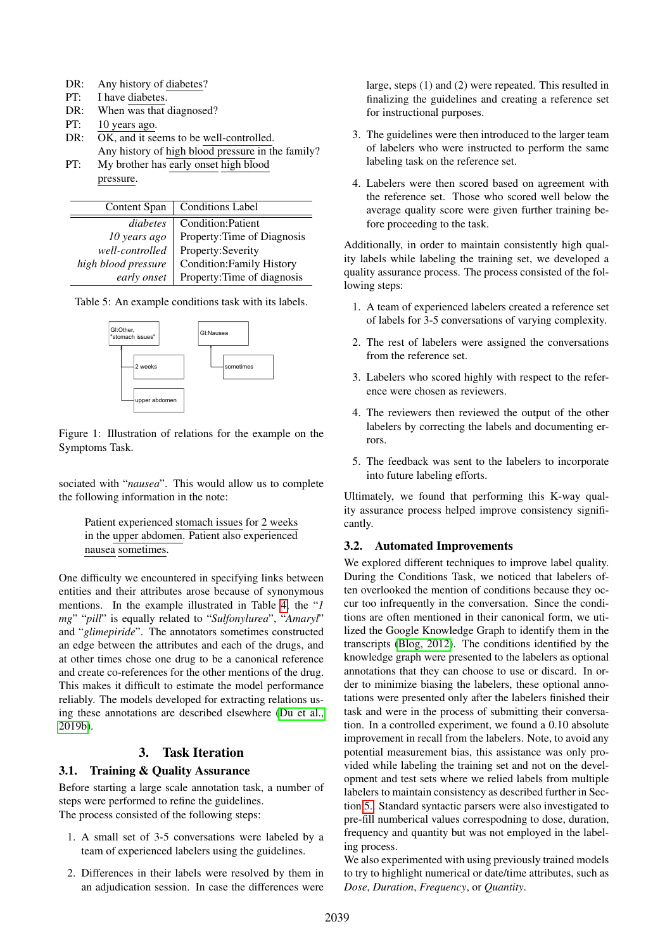- DR: Any history of diabetes?
- PT: I have diabetes.
- DR: When was that diagnosed?
- PT: 10 years ago.
- DR: OK, and it seems to be well-controlled. Any history of high blood pressure in the family?
- PT: My brother has early onset high blood pressure.

| Content Span        | <b>Conditions Label</b>     |
|---------------------|-----------------------------|
| diabetes            | Condition: Patient          |
| 10 years ago        | Property: Time of Diagnosis |
| well-controlled     | Property:Severity           |
| high blood pressure | Condition: Family History   |
| early onset         | Property: Time of diagnosis |

Table 5: An example conditions task with its labels.

<span id="page-3-1"></span>

Figure 1: Illustration of relations for the example on the Symptoms Task.

sociated with "*nausea*". This would allow us to complete the following information in the note:

Patient experienced stomach issues for 2 weeks in the upper abdomen. Patient also experienced nausea sometimes.

One difficulty we encountered in specifying links between entities and their attributes arose because of synonymous mentions. In the example illustrated in Table [4,](#page-2-1) the "*1 mg*" "*pill*" is equally related to "*Sulfonylurea*", "*Amaryl*" and "*glimepiride*". The annotators sometimes constructed an edge between the attributes and each of the drugs, and at other times chose one drug to be a canonical reference and create co-references for the other mentions of the drug. This makes it difficult to estimate the model performance reliably. The models developed for extracting relations using these annotations are described elsewhere [\(Du et al.,](#page-8-17) [2019b\)](#page-8-17).

# 3. Task Iteration

# <span id="page-3-0"></span>3.1. Training & Quality Assurance

Before starting a large scale annotation task, a number of steps were performed to refine the guidelines. The process consisted of the following steps:

- 1. A small set of 3-5 conversations were labeled by a team of experienced labelers using the guidelines.
- 2. Differences in their labels were resolved by them in an adjudication session. In case the differences were

large, steps (1) and (2) were repeated. This resulted in finalizing the guidelines and creating a reference set for instructional purposes.

- 3. The guidelines were then introduced to the larger team of labelers who were instructed to perform the same labeling task on the reference set.
- 4. Labelers were then scored based on agreement with the reference set. Those who scored well below the average quality score were given further training before proceeding to the task.

Additionally, in order to maintain consistently high quality labels while labeling the training set, we developed a quality assurance process. The process consisted of the following steps:

- 1. A team of experienced labelers created a reference set of labels for 3-5 conversations of varying complexity.
- 2. The rest of labelers were assigned the conversations from the reference set.
- 3. Labelers who scored highly with respect to the reference were chosen as reviewers.
- 4. The reviewers then reviewed the output of the other labelers by correcting the labels and documenting errors.
- 5. The feedback was sent to the labelers to incorporate into future labeling efforts.

Ultimately, we found that performing this K-way quality assurance process helped improve consistency significantly.

# <span id="page-3-2"></span>3.2. Automated Improvements

We explored different techniques to improve label quality. During the Conditions Task, we noticed that labelers often overlooked the mention of conditions because they occur too infrequently in the conversation. Since the conditions are often mentioned in their canonical form, we utilized the Google Knowledge Graph to identify them in the transcripts [\(Blog, 2012\)](#page-8-18). The conditions identified by the knowledge graph were presented to the labelers as optional annotations that they can choose to use or discard. In order to minimize biasing the labelers, these optional annotations were presented only after the labelers finished their task and were in the process of submitting their conversation. In a controlled experiment, we found a 0.10 absolute improvement in recall from the labelers. Note, to avoid any potential measurement bias, this assistance was only provided while labeling the training set and not on the development and test sets where we relied labels from multiple labelers to maintain consistency as described further in Section [5..](#page-5-0) Standard syntactic parsers were also investigated to pre-fill numberical values correspodning to dose, duration, frequency and quantity but was not employed in the labeling process.

We also experimented with using previously trained models to try to highlight numerical or date/time attributes, such as *Dose*, *Duration*, *Frequency*, or *Quantity*.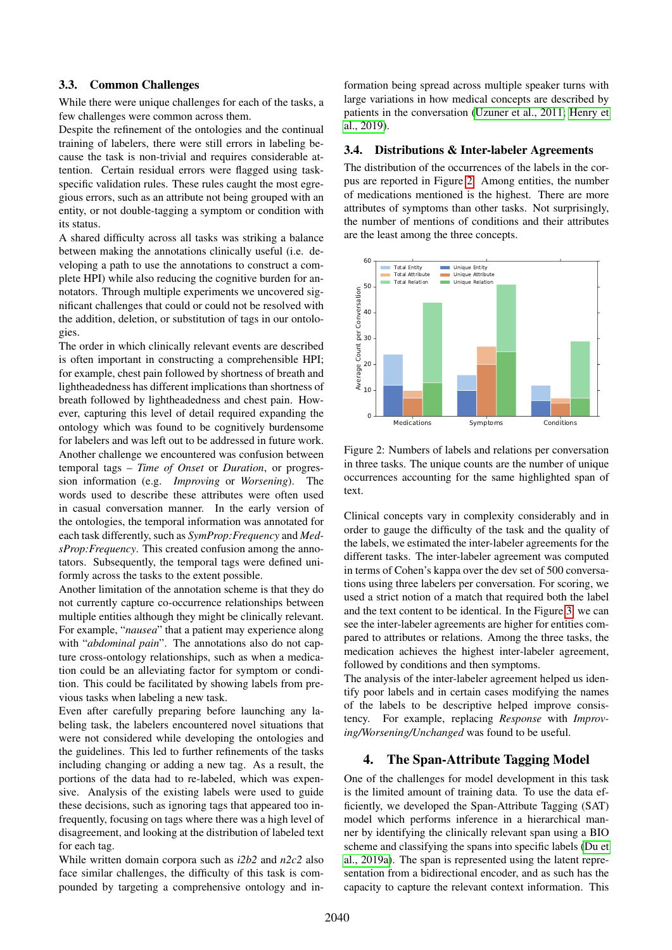### 3.3. Common Challenges

While there were unique challenges for each of the tasks, a few challenges were common across them.

Despite the refinement of the ontologies and the continual training of labelers, there were still errors in labeling because the task is non-trivial and requires considerable attention. Certain residual errors were flagged using taskspecific validation rules. These rules caught the most egregious errors, such as an attribute not being grouped with an entity, or not double-tagging a symptom or condition with its status.

A shared difficulty across all tasks was striking a balance between making the annotations clinically useful (i.e. developing a path to use the annotations to construct a complete HPI) while also reducing the cognitive burden for annotators. Through multiple experiments we uncovered significant challenges that could or could not be resolved with the addition, deletion, or substitution of tags in our ontologies.

The order in which clinically relevant events are described is often important in constructing a comprehensible HPI; for example, chest pain followed by shortness of breath and lightheadedness has different implications than shortness of breath followed by lightheadedness and chest pain. However, capturing this level of detail required expanding the ontology which was found to be cognitively burdensome for labelers and was left out to be addressed in future work. Another challenge we encountered was confusion between temporal tags – *Time of Onset* or *Duration*, or progression information (e.g. *Improving* or *Worsening*). The words used to describe these attributes were often used in casual conversation manner. In the early version of the ontologies, the temporal information was annotated for each task differently, such as *SymProp:Frequency* and *MedsProp:Frequency*. This created confusion among the annotators. Subsequently, the temporal tags were defined uniformly across the tasks to the extent possible.

Another limitation of the annotation scheme is that they do not currently capture co-occurrence relationships between multiple entities although they might be clinically relevant. For example, "*nausea*" that a patient may experience along with "*abdominal pain*". The annotations also do not capture cross-ontology relationships, such as when a medication could be an alleviating factor for symptom or condition. This could be facilitated by showing labels from previous tasks when labeling a new task.

Even after carefully preparing before launching any labeling task, the labelers encountered novel situations that were not considered while developing the ontologies and the guidelines. This led to further refinements of the tasks including changing or adding a new tag. As a result, the portions of the data had to re-labeled, which was expensive. Analysis of the existing labels were used to guide these decisions, such as ignoring tags that appeared too infrequently, focusing on tags where there was a high level of disagreement, and looking at the distribution of labeled text for each tag.

While written domain corpora such as *i2b2* and *n2c2* also face similar challenges, the difficulty of this task is compounded by targeting a comprehensive ontology and information being spread across multiple speaker turns with large variations in how medical concepts are described by patients in the conversation [\(Uzuner et al., 2011;](#page-8-8) [Henry et](#page-8-13) [al., 2019\)](#page-8-13).

### <span id="page-4-2"></span>3.4. Distributions & Inter-labeler Agreements

The distribution of the occurrences of the labels in the corpus are reported in Figure [2.](#page-4-1) Among entities, the number of medications mentioned is the highest. There are more attributes of symptoms than other tasks. Not surprisingly, the number of mentions of conditions and their attributes are the least among the three concepts.



<span id="page-4-1"></span>Figure 2: Numbers of labels and relations per conversation in three tasks. The unique counts are the number of unique occurrences accounting for the same highlighted span of text.

Clinical concepts vary in complexity considerably and in order to gauge the difficulty of the task and the quality of the labels, we estimated the inter-labeler agreements for the different tasks. The inter-labeler agreement was computed in terms of Cohen's kappa over the dev set of 500 conversations using three labelers per conversation. For scoring, we used a strict notion of a match that required both the label and the text content to be identical. In the Figure [3,](#page-5-1) we can see the inter-labeler agreements are higher for entities compared to attributes or relations. Among the three tasks, the medication achieves the highest inter-labeler agreement, followed by conditions and then symptoms.

The analysis of the inter-labeler agreement helped us identify poor labels and in certain cases modifying the names of the labels to be descriptive helped improve consistency. For example, replacing *Response* with *Improving/Worsening/Unchanged* was found to be useful.

### <span id="page-4-0"></span>4. The Span-Attribute Tagging Model

One of the challenges for model development in this task is the limited amount of training data. To use the data efficiently, we developed the Span-Attribute Tagging (SAT) model which performs inference in a hierarchical manner by identifying the clinically relevant span using a BIO scheme and classifying the spans into specific labels [\(Du et](#page-8-19) [al., 2019a\)](#page-8-19). The span is represented using the latent representation from a bidirectional encoder, and as such has the capacity to capture the relevant context information. This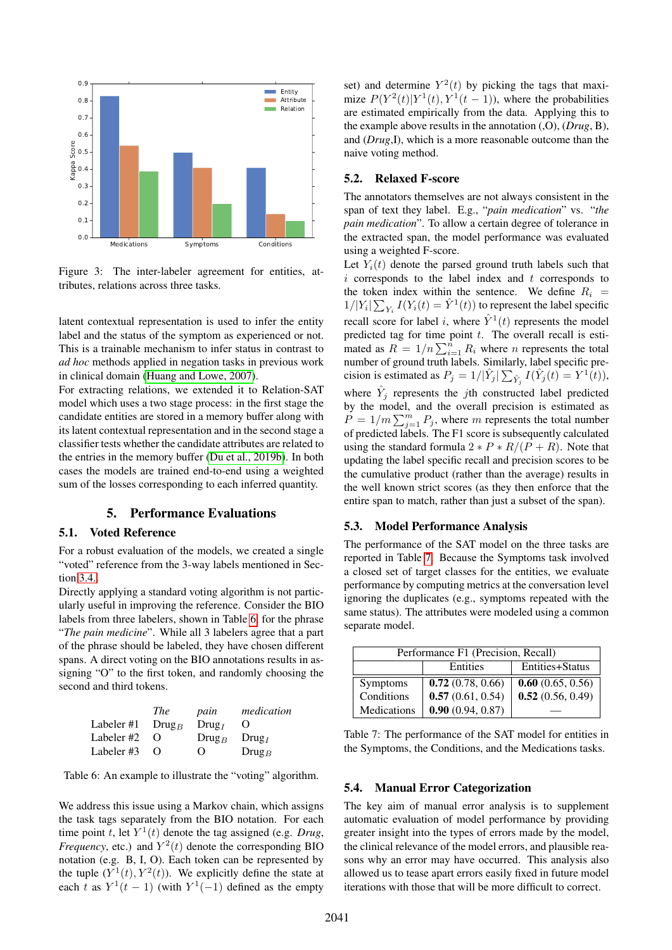

<span id="page-5-1"></span>Figure 3: The inter-labeler agreement for entities, attributes, relations across three tasks.

latent contextual representation is used to infer the entity label and the status of the symptom as experienced or not. This is a trainable mechanism to infer status in contrast to *ad hoc* methods applied in negation tasks in previous work in clinical domain [\(Huang and Lowe, 2007\)](#page-8-20).

For extracting relations, we extended it to Relation-SAT model which uses a two stage process: in the first stage the candidate entities are stored in a memory buffer along with its latent contextual representation and in the second stage a classifier tests whether the candidate attributes are related to the entries in the memory buffer [\(Du et al., 2019b\)](#page-8-17). In both cases the models are trained end-to-end using a weighted sum of the losses corresponding to each inferred quantity.

# 5. Performance Evaluations

#### <span id="page-5-0"></span>5.1. Voted Reference

For a robust evaluation of the models, we created a single "voted" reference from the 3-way labels mentioned in Section [3.4..](#page-4-2)

Directly applying a standard voting algorithm is not particularly useful in improving the reference. Consider the BIO labels from three labelers, shown in Table [6,](#page-5-2) for the phrase "*The pain medicine*". While all 3 labelers agree that a part of the phrase should be labeled, they have chosen different spans. A direct voting on the BIO annotations results in assigning "O" to the first token, and randomly choosing the second and third tokens.

| <i>The</i>                             | pain                            | medication      |
|----------------------------------------|---------------------------------|-----------------|
| Labeler #1 $\langle$ Drug <sub>B</sub> | Drug <sub>I</sub>               | $\theta$        |
| $\Omega$                               | $\text{Drug}_B$ $\text{Drug}_I$ |                 |
| $\Omega$                               | $\Omega$                        | $\text{Drug}_B$ |
|                                        |                                 |                 |

<span id="page-5-2"></span>Table 6: An example to illustrate the "voting" algorithm.

We address this issue using a Markov chain, which assigns the task tags separately from the BIO notation. For each time point t, let  $Y^1(t)$  denote the tag assigned (e.g. *Drug*, *Frequency*, etc.) and  $Y^2(t)$  denote the corresponding BIO notation (e.g. B, I, O). Each token can be represented by the tuple  $(Y^1(t), Y^2(t))$ . We explicitly define the state at each t as  $Y^1(t-1)$  (with  $Y^1(-1)$  defined as the empty

set) and determine  $Y^2(t)$  by picking the tags that maximize  $P(Y^2(t)|Y^1(t), Y^1(t-1))$ , where the probabilities are estimated empirically from the data. Applying this to the example above results in the annotation (,O), (*Drug*, B), and (*Drug*,I), which is a more reasonable outcome than the naive voting method.

#### 5.2. Relaxed F-score

The annotators themselves are not always consistent in the span of text they label. E.g., "*pain medication*" vs. "*the pain medication*". To allow a certain degree of tolerance in the extracted span, the model performance was evaluated using a weighted F-score.

Let  $Y_i(t)$  denote the parsed ground truth labels such that  $i$  corresponds to the label index and  $t$  corresponds to the token index within the sentence. We define  $R_i$  =  $1/|Y_i|\sum_{Y_i}I(Y_i(t)=\hat{Y}^1(t))$  to represent the label specific recall score for label *i*, where  $\hat{Y}^1(t)$  represents the model predicted tag for time point  $t$ . The overall recall is estimated as  $R = 1/n \sum_{i=1}^{n} R_i$  where *n* represents the total number of ground truth labels. Similarly, label specific precision is estimated as  $P_j = 1/|\hat{Y}_j| \sum_{\hat{Y}_j} I(\hat{Y}_j(t)) = Y^1(t)$ ), where  $\hat{Y}_j$  represents the *j*th constructed label predicted by the model, and the overall precision is estimated as  $\overline{P} = 1/m \sum_{j=1}^{m} P_j$ , where m represents the total number of predicted labels. The F1 score is subsequently calculated using the standard formula  $2 * P * R/(P + R)$ . Note that updating the label specific recall and precision scores to be the cumulative product (rather than the average) results in the well known strict scores (as they then enforce that the

#### 5.3. Model Performance Analysis

The performance of the SAT model on the three tasks are reported in Table [7.](#page-5-3) Because the Symptoms task involved a closed set of target classes for the entities, we evaluate performance by computing metrics at the conversation level ignoring the duplicates (e.g., symptoms repeated with the same status). The attributes were modeled using a common separate model.

entire span to match, rather than just a subset of the span).

| Performance F1 (Precision, Recall) |                             |                  |
|------------------------------------|-----------------------------|------------------|
|                                    | Entities+Status<br>Entities |                  |
| <b>Symptoms</b>                    | 0.72(0.78, 0.66)            | 0.60(0.65, 0.56) |
| Conditions                         | 0.57(0.61, 0.54)            | 0.52(0.56, 0.49) |
| <b>Medications</b>                 | 0.90(0.94, 0.87)            |                  |

<span id="page-5-3"></span>Table 7: The performance of the SAT model for entities in the Symptoms, the Conditions, and the Medications tasks.

#### 5.4. Manual Error Categorization

The key aim of manual error analysis is to supplement automatic evaluation of model performance by providing greater insight into the types of errors made by the model, the clinical relevance of the model errors, and plausible reasons why an error may have occurred. This analysis also allowed us to tease apart errors easily fixed in future model iterations with those that will be more difficult to correct.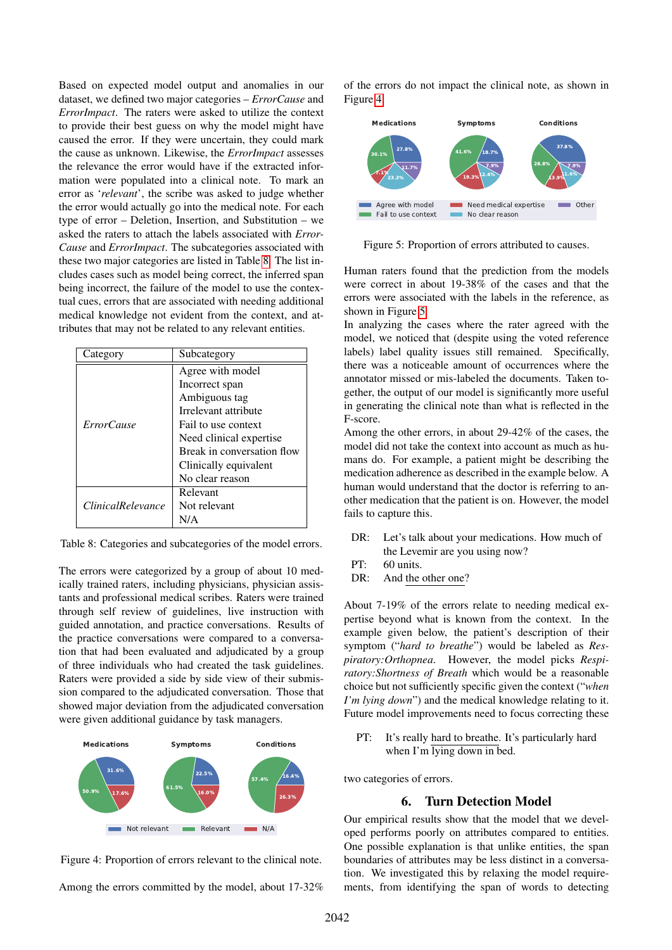Based on expected model output and anomalies in our dataset, we defined two major categories – *ErrorCause* and *ErrorImpact*. The raters were asked to utilize the context to provide their best guess on why the model might have caused the error. If they were uncertain, they could mark the cause as unknown. Likewise, the *ErrorImpact* assesses the relevance the error would have if the extracted information were populated into a clinical note. To mark an error as '*relevant*', the scribe was asked to judge whether the error would actually go into the medical note. For each type of error – Deletion, Insertion, and Substitution – we asked the raters to attach the labels associated with *Error-Cause* and *ErrorImpact*. The subcategories associated with these two major categories are listed in Table [8.](#page-6-0) The list includes cases such as model being correct, the inferred span being incorrect, the failure of the model to use the contextual cues, errors that are associated with needing additional medical knowledge not evident from the context, and attributes that may not be related to any relevant entities.

| Category                 | Subcategory                |
|--------------------------|----------------------------|
| <i>ErrorCause</i>        | Agree with model           |
|                          | Incorrect span             |
|                          | Ambiguous tag              |
|                          | Irrelevant attribute       |
|                          | Fail to use context        |
|                          | Need clinical expertise    |
|                          | Break in conversation flow |
|                          | Clinically equivalent      |
|                          | No clear reason            |
| <i>ClinicalRelevance</i> | Relevant                   |
|                          | Not relevant               |
|                          | N/A                        |

<span id="page-6-0"></span>Table 8: Categories and subcategories of the model errors.

The errors were categorized by a group of about 10 medically trained raters, including physicians, physician assistants and professional medical scribes. Raters were trained through self review of guidelines, live instruction with guided annotation, and practice conversations. Results of the practice conversations were compared to a conversation that had been evaluated and adjudicated by a group of three individuals who had created the task guidelines. Raters were provided a side by side view of their submission compared to the adjudicated conversation. Those that showed major deviation from the adjudicated conversation were given additional guidance by task managers.



<span id="page-6-1"></span>

Among the errors committed by the model, about 17-32%

of the errors do not impact the clinical note, as shown in Figure [4.](#page-6-1)



<span id="page-6-2"></span>Figure 5: Proportion of errors attributed to causes.

Human raters found that the prediction from the models were correct in about 19-38% of the cases and that the errors were associated with the labels in the reference, as shown in Figure [5.](#page-6-2)

In analyzing the cases where the rater agreed with the model, we noticed that (despite using the voted reference labels) label quality issues still remained. Specifically, there was a noticeable amount of occurrences where the annotator missed or mis-labeled the documents. Taken together, the output of our model is significantly more useful in generating the clinical note than what is reflected in the F-score.

Among the other errors, in about 29-42% of the cases, the model did not take the context into account as much as humans do. For example, a patient might be describing the medication adherence as described in the example below. A human would understand that the doctor is referring to another medication that the patient is on. However, the model fails to capture this.

- DR: Let's talk about your medications. How much of the Levemir are you using now?
- $PT: 60 \text{ units}$
- DR: And the other one?

About 7-19% of the errors relate to needing medical expertise beyond what is known from the context. In the example given below, the patient's description of their symptom ("*hard to breathe*") would be labeled as *Respiratory:Orthopnea*. However, the model picks *Respiratory:Shortness of Breath* which would be a reasonable choice but not sufficiently specific given the context ("*when I'm lying down*") and the medical knowledge relating to it. Future model improvements need to focus correcting these

PT: It's really hard to breathe. It's particularly hard when I'm lying down in bed.

two categories of errors.

# 6. Turn Detection Model

Our empirical results show that the model that we developed performs poorly on attributes compared to entities. One possible explanation is that unlike entities, the span boundaries of attributes may be less distinct in a conversation. We investigated this by relaxing the model requirements, from identifying the span of words to detecting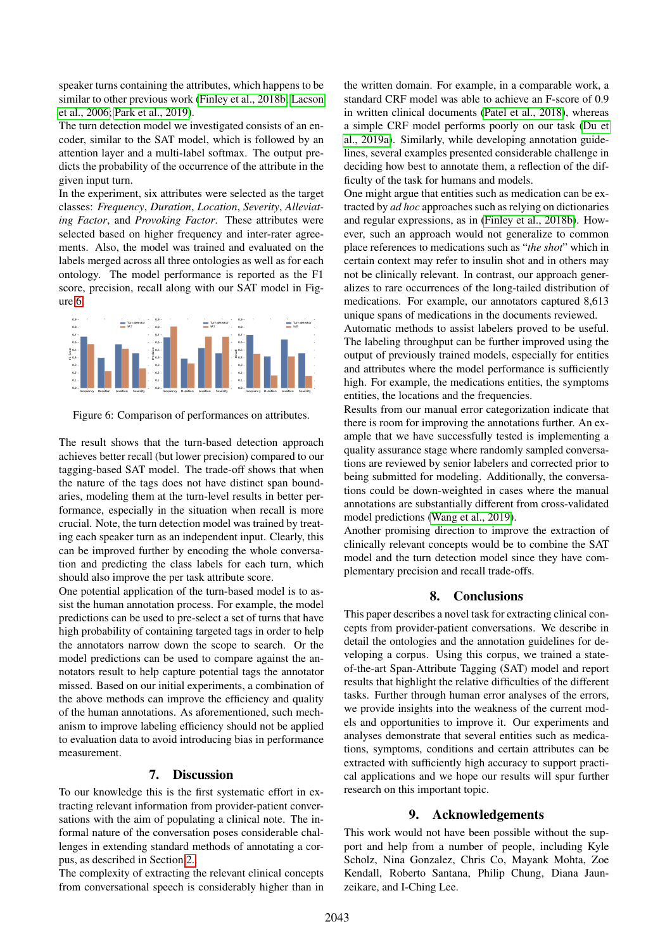speaker turns containing the attributes, which happens to be similar to other previous work [\(Finley et al., 2018b;](#page-8-6) [Lacson](#page-8-21) [et al., 2006;](#page-8-21) [Park et al., 2019\)](#page-8-22).

The turn detection model we investigated consists of an encoder, similar to the SAT model, which is followed by an attention layer and a multi-label softmax. The output predicts the probability of the occurrence of the attribute in the given input turn.

In the experiment, six attributes were selected as the target classes: *Frequency*, *Duration*, *Location*, *Severity*, *Alleviating Factor*, and *Provoking Factor*. These attributes were selected based on higher frequency and inter-rater agreements. Also, the model was trained and evaluated on the labels merged across all three ontologies as well as for each ontology. The model performance is reported as the F1 score, precision, recall along with our SAT model in Figure [6.](#page-7-0)



<span id="page-7-0"></span>Figure 6: Comparison of performances on attributes.

The result shows that the turn-based detection approach achieves better recall (but lower precision) compared to our tagging-based SAT model. The trade-off shows that when the nature of the tags does not have distinct span boundaries, modeling them at the turn-level results in better performance, especially in the situation when recall is more crucial. Note, the turn detection model was trained by treating each speaker turn as an independent input. Clearly, this can be improved further by encoding the whole conversation and predicting the class labels for each turn, which should also improve the per task attribute score.

One potential application of the turn-based model is to assist the human annotation process. For example, the model predictions can be used to pre-select a set of turns that have high probability of containing targeted tags in order to help the annotators narrow down the scope to search. Or the model predictions can be used to compare against the annotators result to help capture potential tags the annotator missed. Based on our initial experiments, a combination of the above methods can improve the efficiency and quality of the human annotations. As aforementioned, such mechanism to improve labeling efficiency should not be applied to evaluation data to avoid introducing bias in performance measurement.

#### 7. Discussion

To our knowledge this is the first systematic effort in extracting relevant information from provider-patient conversations with the aim of populating a clinical note. The informal nature of the conversation poses considerable challenges in extending standard methods of annotating a corpus, as described in Section [2..](#page-1-0)

The complexity of extracting the relevant clinical concepts from conversational speech is considerably higher than in the written domain. For example, in a comparable work, a standard CRF model was able to achieve an F-score of 0.9 in written clinical documents [\(Patel et al., 2018\)](#page-8-23), whereas a simple CRF model performs poorly on our task [\(Du et](#page-8-19) [al., 2019a\)](#page-8-19). Similarly, while developing annotation guidelines, several examples presented considerable challenge in deciding how best to annotate them, a reflection of the difficulty of the task for humans and models.

One might argue that entities such as medication can be extracted by *ad hoc* approaches such as relying on dictionaries and regular expressions, as in [\(Finley et al., 2018b\)](#page-8-6). However, such an approach would not generalize to common place references to medications such as "*the shot*" which in certain context may refer to insulin shot and in others may not be clinically relevant. In contrast, our approach generalizes to rare occurrences of the long-tailed distribution of medications. For example, our annotators captured 8,613 unique spans of medications in the documents reviewed.

Automatic methods to assist labelers proved to be useful. The labeling throughput can be further improved using the output of previously trained models, especially for entities and attributes where the model performance is sufficiently high. For example, the medications entities, the symptoms entities, the locations and the frequencies.

Results from our manual error categorization indicate that there is room for improving the annotations further. An example that we have successfully tested is implementing a quality assurance stage where randomly sampled conversations are reviewed by senior labelers and corrected prior to being submitted for modeling. Additionally, the conversations could be down-weighted in cases where the manual annotations are substantially different from cross-validated model predictions [\(Wang et al., 2019\)](#page-8-24).

Another promising direction to improve the extraction of clinically relevant concepts would be to combine the SAT model and the turn detection model since they have complementary precision and recall trade-offs.

#### 8. Conclusions

This paper describes a novel task for extracting clinical concepts from provider-patient conversations. We describe in detail the ontologies and the annotation guidelines for developing a corpus. Using this corpus, we trained a stateof-the-art Span-Attribute Tagging (SAT) model and report results that highlight the relative difficulties of the different tasks. Further through human error analyses of the errors, we provide insights into the weakness of the current models and opportunities to improve it. Our experiments and analyses demonstrate that several entities such as medications, symptoms, conditions and certain attributes can be extracted with sufficiently high accuracy to support practical applications and we hope our results will spur further research on this important topic.

### 9. Acknowledgements

This work would not have been possible without the support and help from a number of people, including Kyle Scholz, Nina Gonzalez, Chris Co, Mayank Mohta, Zoe Kendall, Roberto Santana, Philip Chung, Diana Jaunzeikare, and I-Ching Lee.